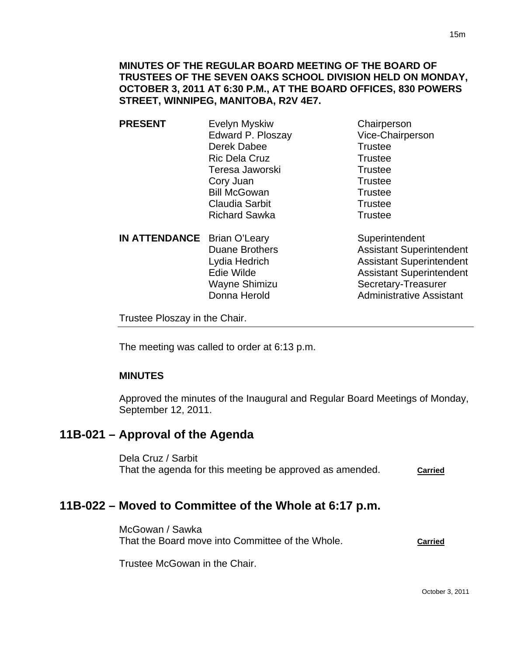- **PRESENT** Evelyn Myskiw Chairperson Edward P. Ploszay Vice-Chairperson Derek Dabee Trustee Ric Dela Cruz Trustee Teresa Jaworski **Trustee** Cory Juan Trustee Bill McGowan Trustee Claudia Sarbit **Trustee** Richard Sawka Trustee
	- **IN ATTENDANCE** Brian O'Leary Superintendent

Duane Brothers **Assistant Superintendent** Lydia Hedrich **Assistant Superintendent** Edie Wilde **Assistant Superintendent** Wayne Shimizu Secretary-Treasurer Donna Herold **Administrative Assistant** 

Trustee Ploszay in the Chair.

The meeting was called to order at 6:13 p.m.

## **MINUTES**

Approved the minutes of the Inaugural and Regular Board Meetings of Monday, September 12, 2011.

# **11B-021 – Approval of the Agenda**

Dela Cruz / Sarbit That the agenda for this meeting be approved as amended. **Carried** 

# **11B-022 – Moved to Committee of the Whole at 6:17 p.m.**

McGowan / Sawka That the Board move into Committee of the Whole. **Carried**

Trustee McGowan in the Chair.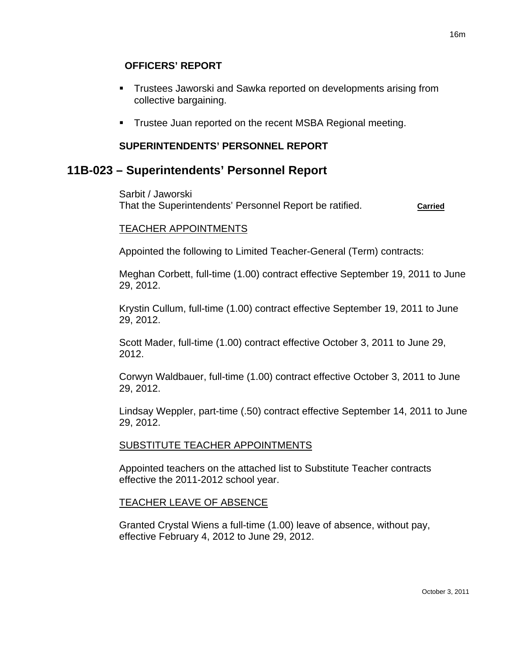- Trustees Jaworski and Sawka reported on developments arising from collective bargaining.
- **Trustee Juan reported on the recent MSBA Regional meeting.**

## **SUPERINTENDENTS' PERSONNEL REPORT**

# **11B-023 – Superintendents' Personnel Report**

Sarbit / Jaworski That the Superintendents' Personnel Report be ratified. **Carried**

## TEACHER APPOINTMENTS

Appointed the following to Limited Teacher-General (Term) contracts:

Meghan Corbett, full-time (1.00) contract effective September 19, 2011 to June 29, 2012.

Krystin Cullum, full-time (1.00) contract effective September 19, 2011 to June 29, 2012.

Scott Mader, full-time (1.00) contract effective October 3, 2011 to June 29, 2012.

Corwyn Waldbauer, full-time (1.00) contract effective October 3, 2011 to June 29, 2012.

Lindsay Weppler, part-time (.50) contract effective September 14, 2011 to June 29, 2012.

## SUBSTITUTE TEACHER APPOINTMENTS

Appointed teachers on the attached list to Substitute Teacher contracts effective the 2011-2012 school year.

## TEACHER LEAVE OF ABSENCE

Granted Crystal Wiens a full-time (1.00) leave of absence, without pay, effective February 4, 2012 to June 29, 2012.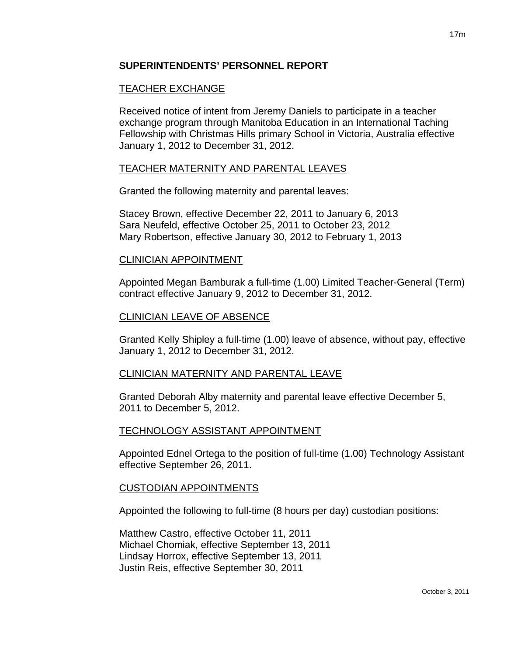### **SUPERINTENDENTS' PERSONNEL REPORT**

## TEACHER EXCHANGE

Received notice of intent from Jeremy Daniels to participate in a teacher exchange program through Manitoba Education in an International Taching Fellowship with Christmas Hills primary School in Victoria, Australia effective January 1, 2012 to December 31, 2012.

#### TEACHER MATERNITY AND PARENTAL LEAVES

Granted the following maternity and parental leaves:

Stacey Brown, effective December 22, 2011 to January 6, 2013 Sara Neufeld, effective October 25, 2011 to October 23, 2012 Mary Robertson, effective January 30, 2012 to February 1, 2013

#### CLINICIAN APPOINTMENT

Appointed Megan Bamburak a full-time (1.00) Limited Teacher-General (Term) contract effective January 9, 2012 to December 31, 2012.

#### CLINICIAN LEAVE OF ABSENCE

Granted Kelly Shipley a full-time (1.00) leave of absence, without pay, effective January 1, 2012 to December 31, 2012.

#### CLINICIAN MATERNITY AND PARENTAL LEAVE

Granted Deborah Alby maternity and parental leave effective December 5, 2011 to December 5, 2012.

#### TECHNOLOGY ASSISTANT APPOINTMENT

Appointed Ednel Ortega to the position of full-time (1.00) Technology Assistant effective September 26, 2011.

#### CUSTODIAN APPOINTMENTS

Appointed the following to full-time (8 hours per day) custodian positions:

Matthew Castro, effective October 11, 2011 Michael Chomiak, effective September 13, 2011 Lindsay Horrox, effective September 13, 2011 Justin Reis, effective September 30, 2011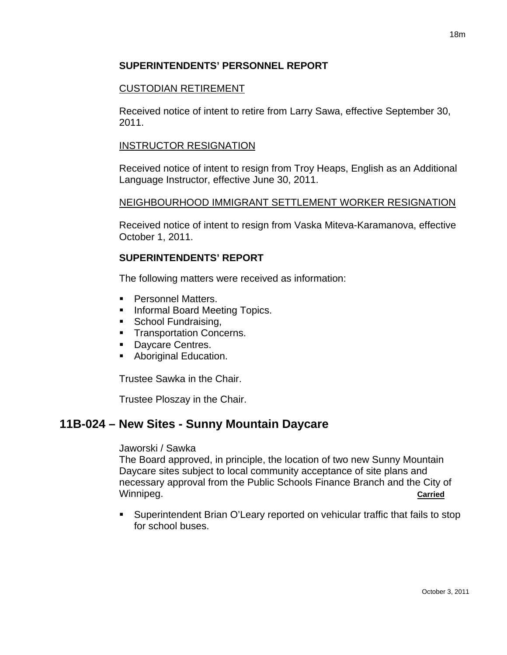## **SUPERINTENDENTS' PERSONNEL REPORT**

## CUSTODIAN RETIREMENT

Received notice of intent to retire from Larry Sawa, effective September 30, 2011.

### INSTRUCTOR RESIGNATION

Received notice of intent to resign from Troy Heaps, English as an Additional Language Instructor, effective June 30, 2011.

## NEIGHBOURHOOD IMMIGRANT SETTLEMENT WORKER RESIGNATION

Received notice of intent to resign from Vaska Miteva-Karamanova, effective October 1, 2011.

## **SUPERINTENDENTS' REPORT**

The following matters were received as information:

- Personnel Matters.
- **Informal Board Meeting Topics.**
- School Fundraising,
- **Transportation Concerns.**
- Daycare Centres.
- **Aboriginal Education.**

Trustee Sawka in the Chair.

Trustee Ploszay in the Chair.

# **11B-024 – New Sites - Sunny Mountain Daycare**

#### Jaworski / Sawka

The Board approved, in principle, the location of two new Sunny Mountain Daycare sites subject to local community acceptance of site plans and necessary approval from the Public Schools Finance Branch and the City of Winnipeg. **Carried**

 Superintendent Brian O'Leary reported on vehicular traffic that fails to stop for school buses.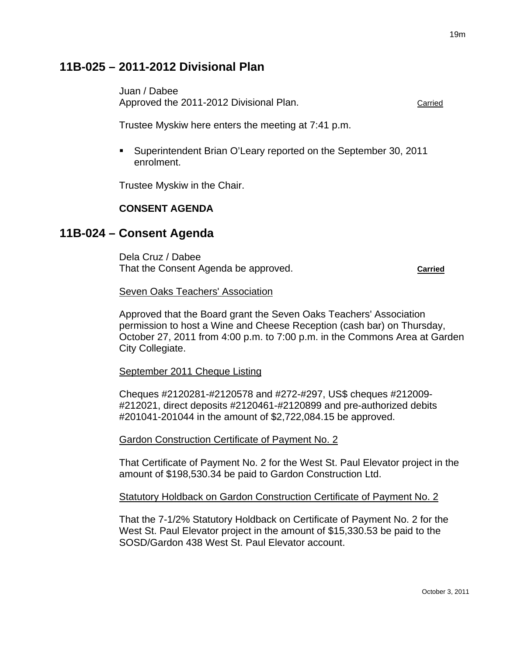## **11B-025 – 2011-2012 Divisional Plan**

Juan / Dabee Approved the 2011-2012 Divisional Plan. The Carried Carried

Trustee Myskiw here enters the meeting at 7:41 p.m.

 Superintendent Brian O'Leary reported on the September 30, 2011 enrolment.

Trustee Myskiw in the Chair.

## **CONSENT AGENDA**

## **11B-024 – Consent Agenda**

Dela Cruz / Dabee That the Consent Agenda be approved. **Carried**

#### Seven Oaks Teachers' Association

Approved that the Board grant the Seven Oaks Teachers' Association permission to host a Wine and Cheese Reception (cash bar) on Thursday, October 27, 2011 from 4:00 p.m. to 7:00 p.m. in the Commons Area at Garden City Collegiate.

September 2011 Cheque Listing

Cheques #2120281-#2120578 and #272-#297, US\$ cheques #212009- #212021, direct deposits #2120461-#2120899 and pre-authorized debits #201041-201044 in the amount of \$2,722,084.15 be approved.

Gardon Construction Certificate of Payment No. 2

That Certificate of Payment No. 2 for the West St. Paul Elevator project in the amount of \$198,530.34 be paid to Gardon Construction Ltd.

Statutory Holdback on Gardon Construction Certificate of Payment No. 2

That the 7-1/2% Statutory Holdback on Certificate of Payment No. 2 for the West St. Paul Elevator project in the amount of \$15,330.53 be paid to the SOSD/Gardon 438 West St. Paul Elevator account.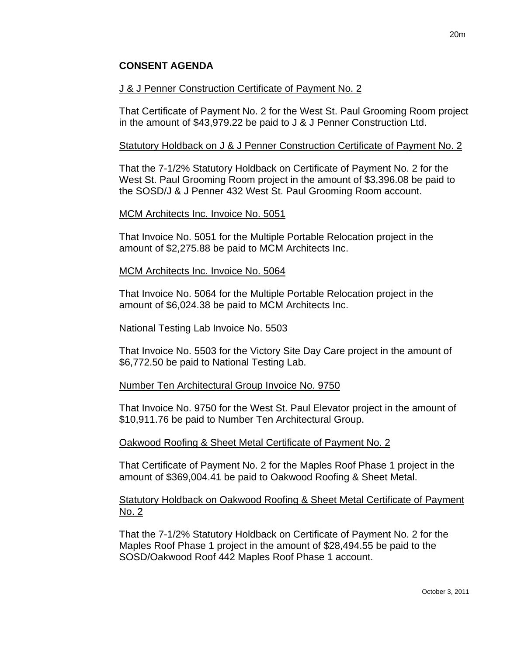## **CONSENT AGENDA**

#### J & J Penner Construction Certificate of Payment No. 2

That Certificate of Payment No. 2 for the West St. Paul Grooming Room project in the amount of \$43,979.22 be paid to J & J Penner Construction Ltd.

#### Statutory Holdback on J & J Penner Construction Certificate of Payment No. 2

That the 7-1/2% Statutory Holdback on Certificate of Payment No. 2 for the West St. Paul Grooming Room project in the amount of \$3,396.08 be paid to the SOSD/J & J Penner 432 West St. Paul Grooming Room account.

#### MCM Architects Inc. Invoice No. 5051

That Invoice No. 5051 for the Multiple Portable Relocation project in the amount of \$2,275.88 be paid to MCM Architects Inc.

#### MCM Architects Inc. Invoice No. 5064

That Invoice No. 5064 for the Multiple Portable Relocation project in the amount of \$6,024.38 be paid to MCM Architects Inc.

#### National Testing Lab Invoice No. 5503

That Invoice No. 5503 for the Victory Site Day Care project in the amount of \$6,772.50 be paid to National Testing Lab.

#### Number Ten Architectural Group Invoice No. 9750

That Invoice No. 9750 for the West St. Paul Elevator project in the amount of \$10,911.76 be paid to Number Ten Architectural Group.

#### Oakwood Roofing & Sheet Metal Certificate of Payment No. 2

That Certificate of Payment No. 2 for the Maples Roof Phase 1 project in the amount of \$369,004.41 be paid to Oakwood Roofing & Sheet Metal.

#### **Statutory Holdback on Oakwood Roofing & Sheet Metal Certificate of Payment** No. 2

That the 7-1/2% Statutory Holdback on Certificate of Payment No. 2 for the Maples Roof Phase 1 project in the amount of \$28,494.55 be paid to the SOSD/Oakwood Roof 442 Maples Roof Phase 1 account.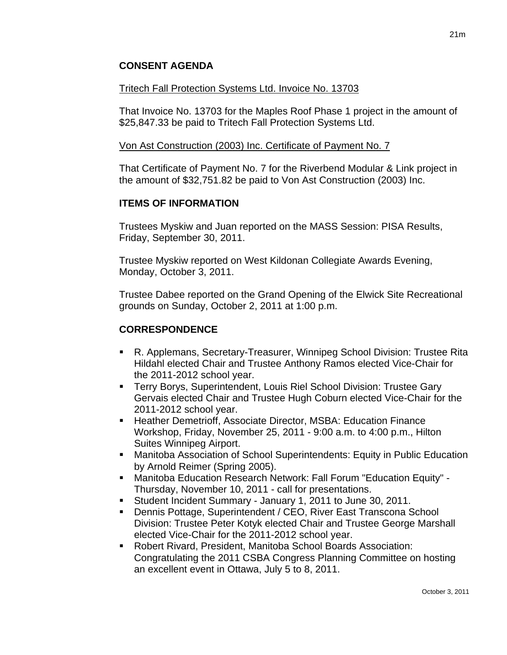## **CONSENT AGENDA**

#### Tritech Fall Protection Systems Ltd. Invoice No. 13703

That Invoice No. 13703 for the Maples Roof Phase 1 project in the amount of \$25,847.33 be paid to Tritech Fall Protection Systems Ltd.

#### Von Ast Construction (2003) Inc. Certificate of Payment No. 7

That Certificate of Payment No. 7 for the Riverbend Modular & Link project in the amount of \$32,751.82 be paid to Von Ast Construction (2003) Inc.

#### **ITEMS OF INFORMATION**

Trustees Myskiw and Juan reported on the MASS Session: PISA Results, Friday, September 30, 2011.

Trustee Myskiw reported on West Kildonan Collegiate Awards Evening, Monday, October 3, 2011.

Trustee Dabee reported on the Grand Opening of the Elwick Site Recreational grounds on Sunday, October 2, 2011 at 1:00 p.m.

#### **CORRESPONDENCE**

- R. Applemans, Secretary-Treasurer, Winnipeg School Division: Trustee Rita Hildahl elected Chair and Trustee Anthony Ramos elected Vice-Chair for the 2011-2012 school year.
- **Terry Borys, Superintendent, Louis Riel School Division: Trustee Gary** Gervais elected Chair and Trustee Hugh Coburn elected Vice-Chair for the 2011-2012 school year.
- Heather Demetrioff, Associate Director, MSBA: Education Finance Workshop, Friday, November 25, 2011 - 9:00 a.m. to 4:00 p.m., Hilton Suites Winnipeg Airport.
- Manitoba Association of School Superintendents: Equity in Public Education by Arnold Reimer (Spring 2005).
- Manitoba Education Research Network: Fall Forum "Education Equity" Thursday, November 10, 2011 - call for presentations.
- Student Incident Summary January 1, 2011 to June 30, 2011.
- Dennis Pottage, Superintendent / CEO, River East Transcona School Division: Trustee Peter Kotyk elected Chair and Trustee George Marshall elected Vice-Chair for the 2011-2012 school year.
- Robert Rivard, President, Manitoba School Boards Association: Congratulating the 2011 CSBA Congress Planning Committee on hosting an excellent event in Ottawa, July 5 to 8, 2011.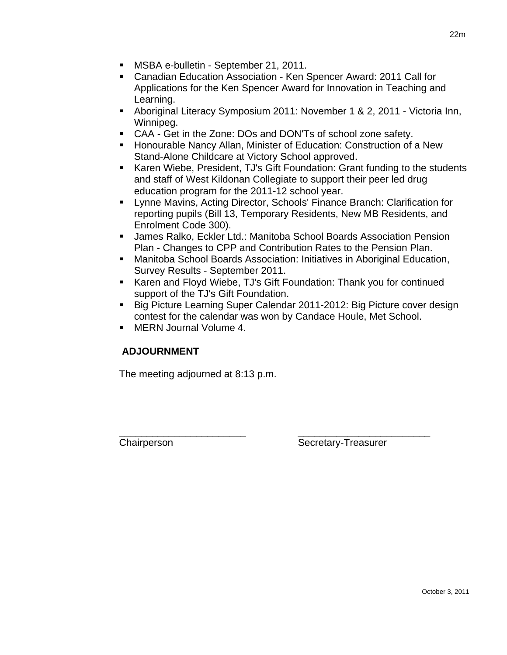- **MSBA e-bulletin September 21, 2011.**
- Canadian Education Association Ken Spencer Award: 2011 Call for Applications for the Ken Spencer Award for Innovation in Teaching and Learning.
- Aboriginal Literacy Symposium 2011: November 1 & 2, 2011 Victoria Inn, Winnipeg.
- CAA Get in the Zone: DOs and DON'Ts of school zone safety.
- **Honourable Nancy Allan, Minister of Education: Construction of a New** Stand-Alone Childcare at Victory School approved.
- Karen Wiebe, President, TJ's Gift Foundation: Grant funding to the students and staff of West Kildonan Collegiate to support their peer led drug education program for the 2011-12 school year.
- Lynne Mavins, Acting Director, Schools' Finance Branch: Clarification for reporting pupils (Bill 13, Temporary Residents, New MB Residents, and Enrolment Code 300).
- James Ralko, Eckler Ltd.: Manitoba School Boards Association Pension Plan - Changes to CPP and Contribution Rates to the Pension Plan.
- Manitoba School Boards Association: Initiatives in Aboriginal Education, Survey Results - September 2011.
- Karen and Floyd Wiebe, TJ's Gift Foundation: Thank you for continued support of the TJ's Gift Foundation.
- Big Picture Learning Super Calendar 2011-2012: Big Picture cover design contest for the calendar was won by Candace Houle, Met School.
- MERN Journal Volume 4.

## **ADJOURNMENT**

The meeting adjourned at 8:13 p.m.

\_\_\_\_\_\_\_\_\_\_\_\_\_\_\_\_\_\_\_\_\_\_\_ \_\_\_\_\_\_\_\_\_\_\_\_\_\_\_\_\_\_\_\_\_\_\_\_ Chairperson Secretary-Treasurer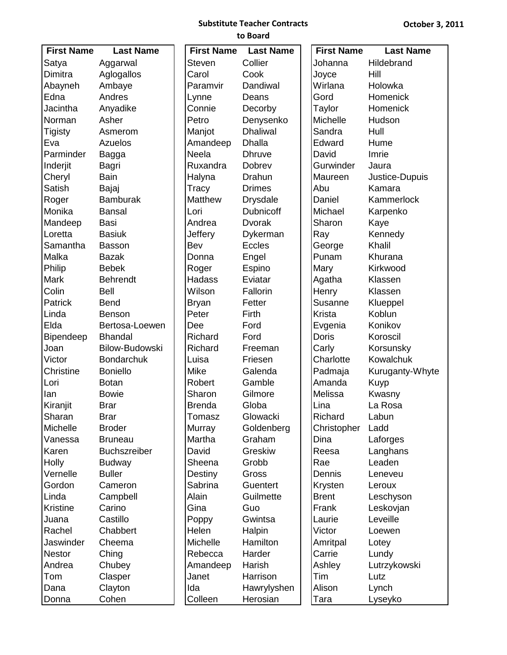#### **Substitute Teacher Contracts to Board**

| <b>First Name</b> | <b>Last Name</b>      | <b>First Name</b> | <b>Last Name</b> | <b>First Name</b> | <b>Last Name</b> |
|-------------------|-----------------------|-------------------|------------------|-------------------|------------------|
| Satya             | Aggarwal              | <b>Steven</b>     | Collier          | Johanna           | Hildebrand       |
| Dimitra           | Aglogallos            | Carol             | Cook             | Joyce             | Hill             |
| Abayneh           | Ambaye                | Paramvir          | Dandiwal         | Wirlana           | Holowka          |
| Edna              | Andres                | Lynne             | Deans            | Gord              | Homenick         |
| Jacintha          | Anyadike              | Connie            | Decorby          | Taylor            | Homenick         |
| Norman            | Asher                 | Petro             | Denysenko        | Michelle          | Hudson           |
| <b>Tigisty</b>    | Asmerom               | Manjot            | <b>Dhaliwal</b>  | Sandra            | Hull             |
| Eva               | Azuelos               | Amandeep          | <b>Dhalla</b>    | Edward            | Hume             |
| Parminder         |                       | Neela             | <b>Dhruve</b>    | David             | Imrie            |
|                   | Bagga                 | Ruxandra          | Dobrev           | Gurwinder         | Jaura            |
| Inderjit          | Bagri<br>Bain         |                   | Drahun           | Maureen           |                  |
| Cheryl            |                       | Halyna            |                  |                   | Justice-Dupuis   |
| Satish            | Bajaj                 | Tracy             | <b>Drimes</b>    | Abu               | Kamara           |
| Roger             | <b>Bamburak</b>       | <b>Matthew</b>    | <b>Drysdale</b>  | Daniel            | Kammerlock       |
| Monika            | <b>Bansal</b>         | Lori              | <b>Dubnicoff</b> | Michael           | Karpenko         |
| Mandeep           | Basi                  | Andrea            | <b>Dvorak</b>    | Sharon            | Kaye             |
| Loretta           | <b>Basiuk</b>         | Jeffery           | Dykerman         | Ray               | Kennedy          |
| Samantha          | <b>Basson</b>         | Bev               | <b>Eccles</b>    | George            | Khalil           |
| Malka             | <b>Bazak</b>          | Donna             | Engel            | Punam             | Khurana          |
| Philip            | <b>Bebek</b>          | Roger             | Espino           | Mary              | Kirkwood         |
| Mark              | <b>Behrendt</b>       | Hadass            | Eviatar          | Agatha            | Klassen          |
| Colin             | <b>Bell</b>           | Wilson            | Fallorin         | Henry             | Klassen          |
| Patrick           | <b>Bend</b>           | <b>Bryan</b>      | Fetter           | Susanne           | Klueppel         |
| Linda             | <b>Benson</b>         | Peter             | Firth            | Krista            | Koblun           |
| Elda              | Bertosa-Loewen        | Dee               | Ford             | Evgenia           | Konikov          |
| Bipendeep         | <b>Bhandal</b>        | Richard           | Ford             | <b>Doris</b>      | Koroscil         |
| Joan              | <b>Bilow-Budowski</b> | Richard           | Freeman          | Carly             | Korsunsky        |
| Victor            | <b>Bondarchuk</b>     | Luisa             | Friesen          | Charlotte         | Kowalchuk        |
| Christine         | <b>Boniello</b>       | Mike              | Galenda          | Padmaja           | Kuruganty-Whyte  |
| Lori              | <b>Botan</b>          | Robert            | Gamble           | Amanda            | Kuyp             |
| lan               | <b>Bowie</b>          | Sharon            | Gilmore          | Melissa           | Kwasny           |
| Kiranjit          | <b>Brar</b>           | <b>Brenda</b>     | Globa            | Lina              | La Rosa          |
| Sharan            | <b>Brar</b>           | Tomasz            | Glowacki         | Richard           | Labun            |
| Michelle          | <b>Broder</b>         | Murray            | Goldenberg       | Christopher       | Ladd             |
| Vanessa           | <b>Bruneau</b>        | Martha            | Graham           | Dina              | Laforges         |
| Karen             | <b>Buchszreiber</b>   | David             | Greskiw          | Reesa             | Langhans         |
| <b>Holly</b>      | <b>Budway</b>         | Sheena            | Grobb            | Rae               | Leaden           |
| Vernelle          | <b>Buller</b>         | Destiny           | Gross            | Dennis            | Leneveu          |
| Gordon            | Cameron               | Sabrina           | Guentert         | Krysten           | Leroux           |
| Linda             | Campbell              | Alain             | Guilmette        | <b>Brent</b>      | Leschyson        |
| <b>Kristine</b>   | Carino                | Gina              | Guo              | Frank             | Leskovjan        |
| Juana             | Castillo              | Poppy             | Gwintsa          | Laurie            | Leveille         |
| Rachel            | Chabbert              | Helen             | Halpin           | Victor            | Loewen           |
| Jaswinder         | Cheema                | Michelle          | Hamilton         | Amritpal          | Lotey            |
| <b>Nestor</b>     | Ching                 | Rebecca           | Harder           | Carrie            | Lundy            |
| Andrea            | Chubey                | Amandeep          | Harish           | Ashley            | Lutrzykowski     |
| Tom               | Clasper               | Janet             | Harrison         | Tim               | Lutz             |
| Dana              | Clayton               | Ida               | Hawrylyshen      | Alison            | Lynch            |
|                   | Cohen                 | Colleen           |                  |                   |                  |
| Donna             |                       |                   | Herosian         | Tara              | Lyseyko          |